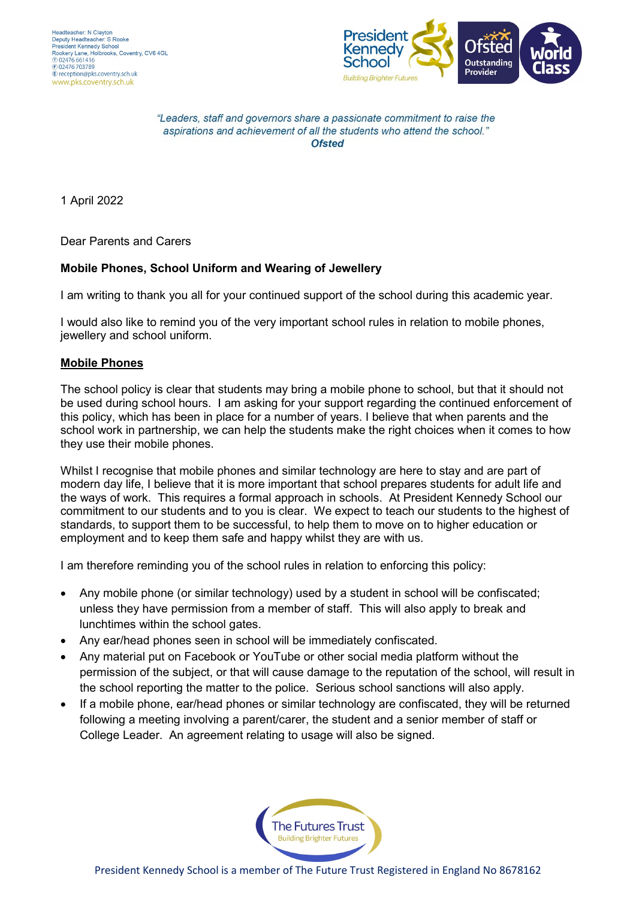

"Leaders, staff and governors share a passionate commitment to raise the aspirations and achievement of all the students who attend the school." **Ofsted** 

1 April 2022

Dear Parents and Carers

#### **Mobile Phones, School Uniform and Wearing of Jewellery**

I am writing to thank you all for your continued support of the school during this academic year.

I would also like to remind you of the very important school rules in relation to mobile phones, jewellery and school uniform.

#### **Mobile Phones**

The school policy is clear that students may bring a mobile phone to school, but that it should not be used during school hours. I am asking for your support regarding the continued enforcement of this policy, which has been in place for a number of years. I believe that when parents and the school work in partnership, we can help the students make the right choices when it comes to how they use their mobile phones.

Whilst I recognise that mobile phones and similar technology are here to stay and are part of modern day life, I believe that it is more important that school prepares students for adult life and the ways of work. This requires a formal approach in schools. At President Kennedy School our commitment to our students and to you is clear. We expect to teach our students to the highest of standards, to support them to be successful, to help them to move on to higher education or employment and to keep them safe and happy whilst they are with us.

I am therefore reminding you of the school rules in relation to enforcing this policy:

- Any mobile phone (or similar technology) used by a student in school will be confiscated; unless they have permission from a member of staff. This will also apply to break and lunchtimes within the school gates.
- Any ear/head phones seen in school will be immediately confiscated.
- Any material put on Facebook or YouTube or other social media platform without the permission of the subject, or that will cause damage to the reputation of the school, will result in the school reporting the matter to the police. Serious school sanctions will also apply.
- If a mobile phone, ear/head phones or similar technology are confiscated, they will be returned following a meeting involving a parent/carer, the student and a senior member of staff or College Leader. An agreement relating to usage will also be signed.

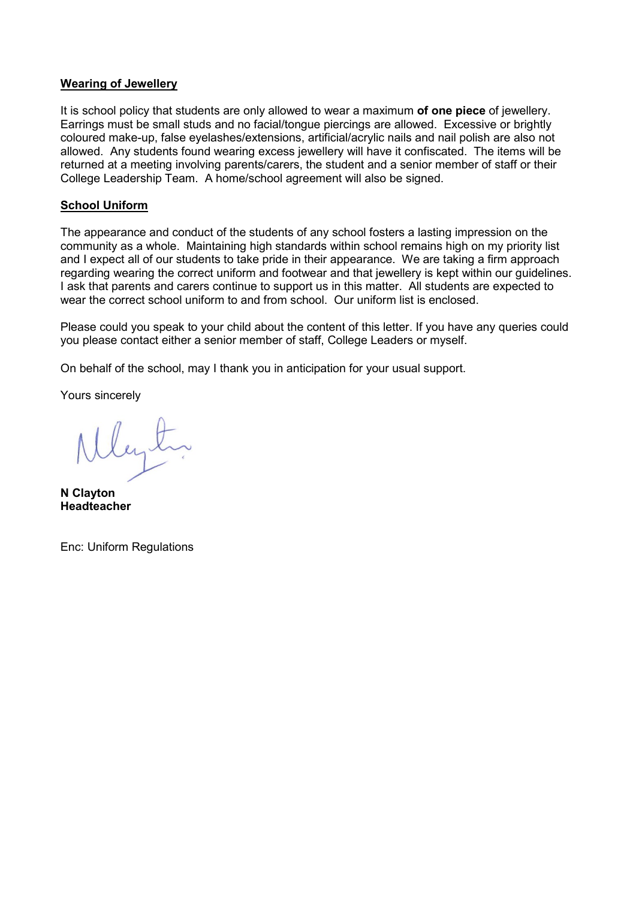#### **Wearing of Jewellery**

It is school policy that students are only allowed to wear a maximum **of one piece** of jewellery. Earrings must be small studs and no facial/tongue piercings are allowed. Excessive or brightly coloured make-up, false eyelashes/extensions, artificial/acrylic nails and nail polish are also not allowed. Any students found wearing excess jewellery will have it confiscated. The items will be returned at a meeting involving parents/carers, the student and a senior member of staff or their College Leadership Team. A home/school agreement will also be signed.

#### **School Uniform**

The appearance and conduct of the students of any school fosters a lasting impression on the community as a whole. Maintaining high standards within school remains high on my priority list and I expect all of our students to take pride in their appearance. We are taking a firm approach regarding wearing the correct uniform and footwear and that jewellery is kept within our guidelines. I ask that parents and carers continue to support us in this matter. All students are expected to wear the correct school uniform to and from school. Our uniform list is enclosed.

Please could you speak to your child about the content of this letter. If you have any queries could you please contact either a senior member of staff, College Leaders or myself.

On behalf of the school, may I thank you in anticipation for your usual support.

Yours sincerely

**N Clayton Headteacher**

Enc: Uniform Regulations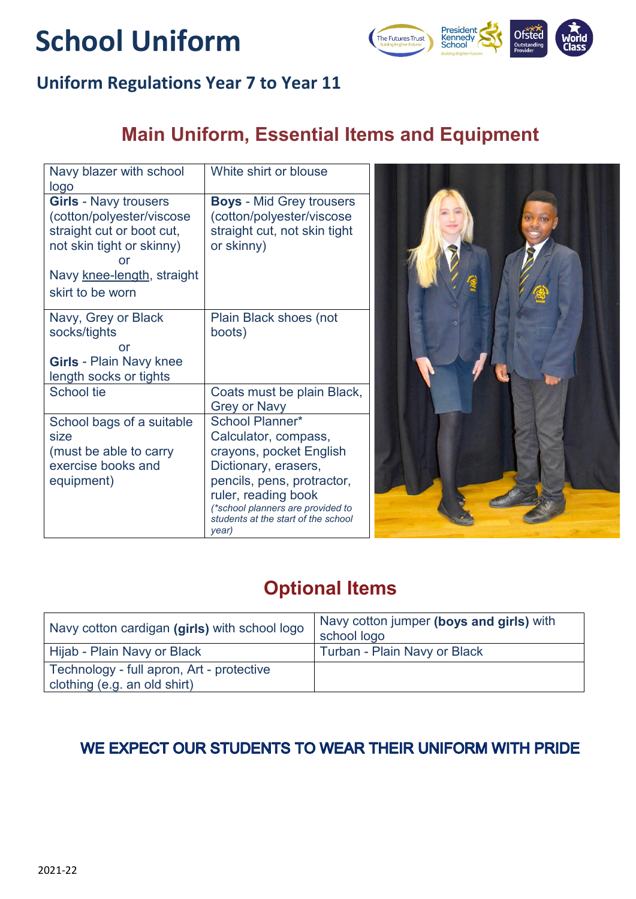# **School Uniform**



### **Uniform Regulations Year 7 to Year 11**

# **Main Uniform, Essential Items and Equipment**

| Navy blazer with school<br>logo                                                                                                                                             | White shirt or blouse                                                                                                                                                                                                                       |  |
|-----------------------------------------------------------------------------------------------------------------------------------------------------------------------------|---------------------------------------------------------------------------------------------------------------------------------------------------------------------------------------------------------------------------------------------|--|
| <b>Girls - Navy trousers</b><br>(cotton/polyester/viscose<br>straight cut or boot cut,<br>not skin tight or skinny)<br>or<br>Navy knee-length, straight<br>skirt to be worn | <b>Boys - Mid Grey trousers</b><br>(cotton/polyester/viscose<br>straight cut, not skin tight<br>or skinny)                                                                                                                                  |  |
| Navy, Grey or Black<br>socks/tights<br>or<br><b>Girls - Plain Navy knee</b><br>length socks or tights                                                                       | Plain Black shoes (not<br>boots)                                                                                                                                                                                                            |  |
| School tie                                                                                                                                                                  | Coats must be plain Black,<br><b>Grey or Navy</b>                                                                                                                                                                                           |  |
| School bags of a suitable<br>size<br>(must be able to carry<br>exercise books and<br>equipment)                                                                             | <b>School Planner*</b><br>Calculator, compass,<br>crayons, pocket English<br>Dictionary, erasers,<br>pencils, pens, protractor,<br>ruler, reading book<br>(*school planners are provided to<br>students at the start of the school<br>year) |  |

## **Optional Items**

| Navy cotton cardigan (girls) with school logo                             | Navy cotton jumper (boys and girls) with<br>school logo |
|---------------------------------------------------------------------------|---------------------------------------------------------|
| Hijab - Plain Navy or Black                                               | Turban - Plain Navy or Black                            |
| Technology - full apron, Art - protective<br>clothing (e.g. an old shirt) |                                                         |

### WE EXPECT OUR STUDENTS TO WEAR THEIR UNIFORM WITH PRIDE